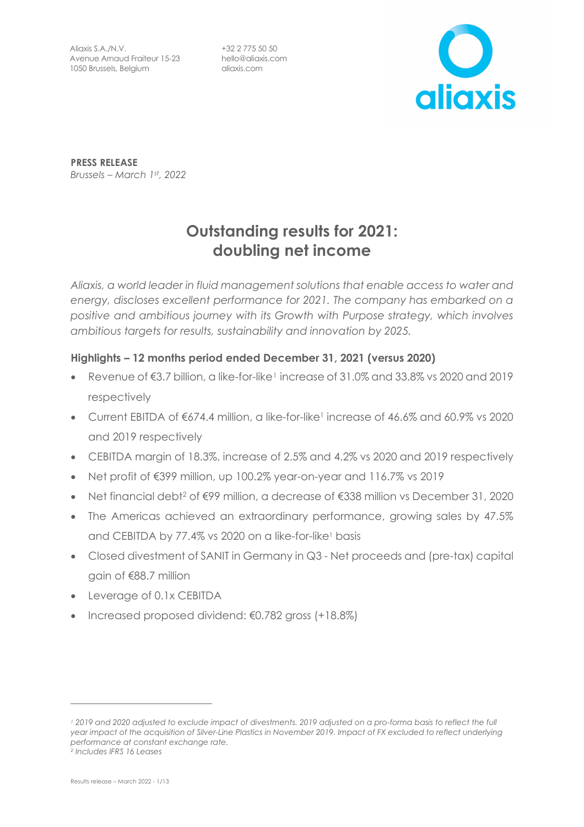+32 2 775 50 50 hello@aliaxis.com aliaxis.com



**PRESS RELEASE** *Brussels – March 1st, 2022*

# **Outstanding results for 2021: doubling net income**

*Aliaxis, a world leader in fluid management solutions that enable access to water and energy, discloses excellent performance for 2021. The company has embarked on a positive and ambitious journey with its Growth with Purpose strategy, which involves ambitious targets for results, sustainability and innovation by 2025.* 

# **Highlights – 12 months period ended December 31, 2021 (versus 2020)**

- Revenue of  $\epsilon$ 3.7 billion, a like-for-like<sup>[1](#page-0-0)</sup> increase of 31.0% and 33.8% vs 2020 and 2019 respectively
- Current EBITDA of  $674.4$  million, a like-for-like<sup>1</sup> increase of  $46.6\%$  and  $60.9\%$  vs 2020 and 2019 respectively
- CEBITDA margin of 18.3%, increase of 2.5% and 4.2% vs 2020 and 2019 respectively
- Net profit of €399 million, up 100.2% year-on-year and 116.7% vs 2019
- Net financial debt2 of €99 million, a decrease of €338 million vs December 31, 2020
- The Americas achieved an extraordinary performance, growing sales by 47.5% and CEBITDA by 77.4% vs 2020 on a like-for-like<sup>1</sup> basis
- Closed divestment of SANIT in Germany in Q3 Net proceeds and (pre-tax) capital gain of €88.7 million
- Leverage of 0.1x CEBITDA
- Increased proposed dividend: €0.782 gross (+18.8%)

<span id="page-0-0"></span>*<sup>1</sup> 2019 and 2020 adjusted to exclude impact of divestments. 2019 adjusted on a pro-forma basis to reflect the full year impact of the acquisition of Silver-Line Plastics in November 2019. Impact of FX excluded to reflect underlying performance at constant exchange rate. 2 Includes IFRS 16 Leases*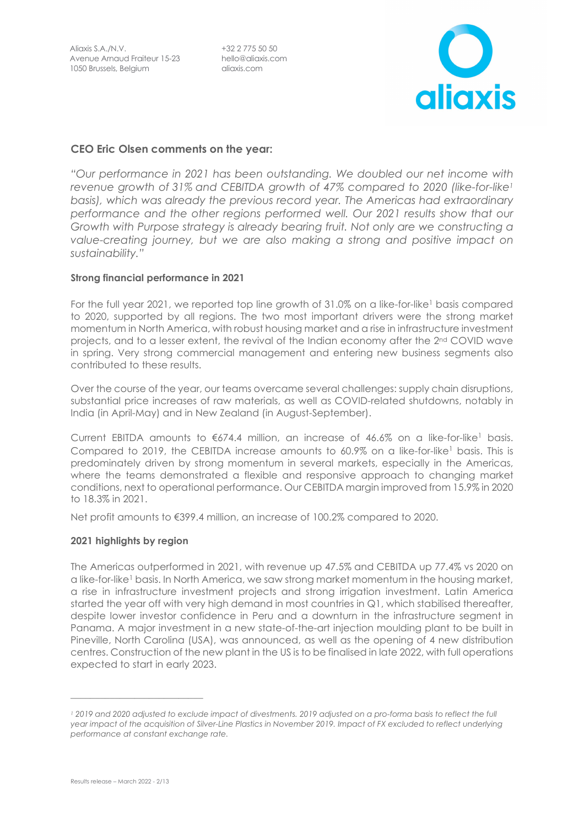+32 2 775 50 50 hello@aliaxis.com aliaxis.com



# **CEO Eric Olsen comments on the year:**

*"Our performance in 2021 has been outstanding. We doubled our net income with revenue growth of 31% and CEBITDA growth of 47% compared to 2020 (like-for-like1 basis), which was already the previous record year. The Americas had extraordinary*  performance and the other regions performed well. Our 2021 results show that our *Growth with Purpose strategy is already bearing fruit. Not only are we constructing a value-creating journey, but we are also making a strong and positive impact on sustainability."* 

# **Strong financial performance in 2021**

For the full year 2021, we reported top line growth of 31.0% on a like-for-like<sup>1</sup> basis compared to 2020, supported by all regions. The two most important drivers were the strong market momentum in North America, with robust housing market and a rise in infrastructure investment projects, and to a lesser extent, the revival of the Indian economy after the 2<sup>nd</sup> COVID wave in spring. Very strong commercial management and entering new business segments also contributed to these results.

Over the course of the year, our teams overcame several challenges: supply chain disruptions, substantial price increases of raw materials, as well as COVID-related shutdowns, notably in India (in April-May) and in New Zealand (in August-September).

Current EBITDA amounts to  $\epsilon$ 674.4 million, an increase of 46.6% on a like-for-like<sup>1</sup> basis. Compared to 2019, the CEBITDA increase amounts to 60.9% on a like-for-like<sup>1</sup> basis. This is predominately driven by strong momentum in several markets, especially in the Americas, where the teams demonstrated a flexible and responsive approach to changing market conditions, next to operational performance. Our CEBITDA margin improved from 15.9% in 2020 to 18.3% in 2021.

Net profit amounts to €399.4 million, an increase of 100.2% compared to 2020.

# **2021 highlights by region**

The Americas outperformed in 2021, with revenue up 47.5% and CEBITDA up 77.4% vs 2020 on a like-for-like<sup>1</sup> basis. In North America, we saw strong market momentum in the housing market, a rise in infrastructure investment projects and strong irrigation investment. Latin America started the year off with very high demand in most countries in Q1, which stabilised thereafter, despite lower investor confidence in Peru and a downturn in the infrastructure segment in Panama. A major investment in a new state-of-the-art injection moulding plant to be built in Pineville, North Carolina (USA), was announced, as well as the opening of 4 new distribution centres. Construction of the new plant in the US is to be finalised in late 2022, with full operations expected to start in early 2023.

\_\_\_\_\_\_\_\_\_\_\_\_\_\_\_\_\_\_\_\_\_\_\_\_\_\_\_

*<sup>1</sup> 2019 and 2020 adjusted to exclude impact of divestments. 2019 adjusted on a pro-forma basis to reflect the full year impact of the acquisition of Silver-Line Plastics in November 2019. Impact of FX excluded to reflect underlying performance at constant exchange rate.*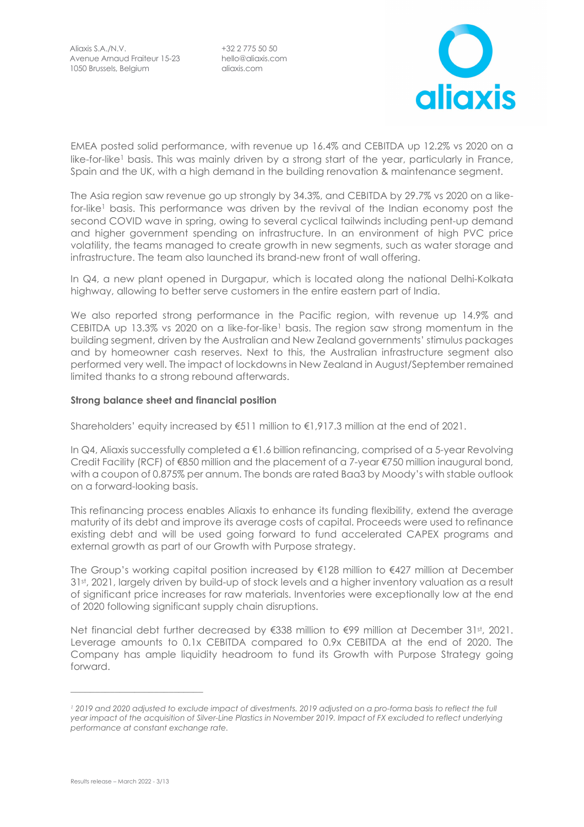+32 2 775 50 50 hello@aliaxis.com aliaxis.com



EMEA posted solid performance, with revenue up 16.4% and CEBITDA up 12.2% vs 2020 on a  $like$ -for-like<sup>1</sup> basis. This was mainly driven by a strong start of the year, particularly in France, Spain and the UK, with a high demand in the building renovation & maintenance segment.

The Asia region saw revenue go up strongly by 34.3%, and CEBITDA by 29.7% vs 2020 on a likefor-like<sup>1</sup> basis. This performance was driven by the revival of the Indian economy post the second COVID wave in spring, owing to several cyclical tailwinds including pent-up demand and higher government spending on infrastructure. In an environment of high PVC price volatility, the teams managed to create growth in new segments, such as water storage and infrastructure. The team also launched its brand-new front of wall offering.

In Q4, a new plant opened in Durgapur, which is located along the national Delhi-Kolkata highway, allowing to better serve customers in the entire eastern part of India.

We also reported strong performance in the Pacific region, with revenue up 14.9% and CEBITDA up 13.3% vs 2020 on a like-for-like<sup>1</sup> basis. The region saw strong momentum in the building segment, driven by the Australian and New Zealand governments' stimulus packages and by homeowner cash reserves. Next to this, the Australian infrastructure segment also performed very well. The impact of lockdowns in New Zealand in August/September remained limited thanks to a strong rebound afterwards.

# **Strong balance sheet and financial position**

Shareholders' equity increased by €511 million to €1,917.3 million at the end of 2021.

In Q4, Aliaxis successfully completed a €1.6 billion refinancing, comprised of a 5-year Revolving Credit Facility (RCF) of €850 million and the placement of a 7-year €750 million inaugural bond, with a coupon of 0.875% per annum. The bonds are rated Baa3 by Moody's with stable outlook on a forward-looking basis.

This refinancing process enables Aliaxis to enhance its funding flexibility, extend the average maturity of its debt and improve its average costs of capital. Proceeds were used to refinance existing debt and will be used going forward to fund accelerated CAPEX programs and external growth as part of our Growth with Purpose strategy.

The Group's working capital position increased by €128 million to €427 million at December 31st, 2021, largely driven by build-up of stock levels and a higher inventory valuation as a result of significant price increases for raw materials. Inventories were exceptionally low at the end of 2020 following significant supply chain disruptions.

Net financial debt further decreased by €338 million to €99 million at December 31st, 2021. Leverage amounts to 0.1x CEBITDA compared to 0.9x CEBITDA at the end of 2020. The Company has ample liquidity headroom to fund its Growth with Purpose Strategy going forward.

\_\_\_\_\_\_\_\_\_\_\_\_\_\_\_\_\_\_\_\_\_\_\_\_\_\_\_

*<sup>1</sup> 2019 and 2020 adjusted to exclude impact of divestments. 2019 adjusted on a pro-forma basis to reflect the full year impact of the acquisition of Silver-Line Plastics in November 2019. Impact of FX excluded to reflect underlying performance at constant exchange rate.*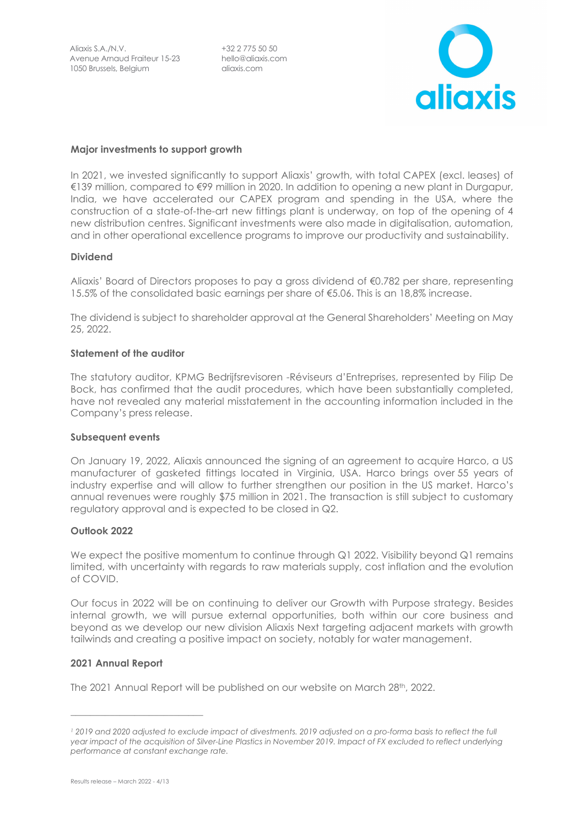

# **Major investments to support growth**

In 2021, we invested significantly to support Aliaxis' growth, with total CAPEX (excl. leases) of €139 million, compared to €99 million in 2020. In addition to opening a new plant in Durgapur, India, we have accelerated our CAPEX program and spending in the USA, where the construction of a state-of-the-art new fittings plant is underway, on top of the opening of 4 new distribution centres. Significant investments were also made in digitalisation, automation, and in other operational excellence programs to improve our productivity and sustainability.

# **Dividend**

Aliaxis' Board of Directors proposes to pay a gross dividend of €0.782 per share, representing 15.5% of the consolidated basic earnings per share of €5.06. This is an 18,8% increase.

The dividend is subject to shareholder approval at the General Shareholders' Meeting on May 25, 2022.

# **Statement of the auditor**

The statutory auditor, KPMG Bedrijfsrevisoren -Réviseurs d'Entreprises, represented by Filip De Bock, has confirmed that the audit procedures, which have been substantially completed, have not revealed any material misstatement in the accounting information included in the Company's press release.

# **Subsequent events**

On January 19, 2022, Aliaxis announced the signing of an agreement to acquire Harco, a US manufacturer of gasketed fittings located in Virginia, USA. Harco brings over 55 years of industry expertise and will allow to further strengthen our position in the US market. Harco's annual revenues were roughly \$75 million in 2021. The transaction is still subject to customary regulatory approval and is expected to be closed in Q2.

# **Outlook 2022**

We expect the positive momentum to continue through Q1 2022. Visibility beyond Q1 remains limited, with uncertainty with regards to raw materials supply, cost inflation and the evolution of COVID.

Our focus in 2022 will be on continuing to deliver our Growth with Purpose strategy. Besides internal growth, we will pursue external opportunities, both within our core business and beyond as we develop our new division Aliaxis Next targeting adjacent markets with growth tailwinds and creating a positive impact on society, notably for water management.

# **2021 Annual Report**

\_\_\_\_\_\_\_\_\_\_\_\_\_\_\_\_\_\_\_\_\_\_\_\_\_\_\_

The 2021 Annual Report will be published on our website on March 28th, 2022.

*<sup>1</sup> 2019 and 2020 adjusted to exclude impact of divestments. 2019 adjusted on a pro-forma basis to reflect the full year impact of the acquisition of Silver-Line Plastics in November 2019. Impact of FX excluded to reflect underlying performance at constant exchange rate.*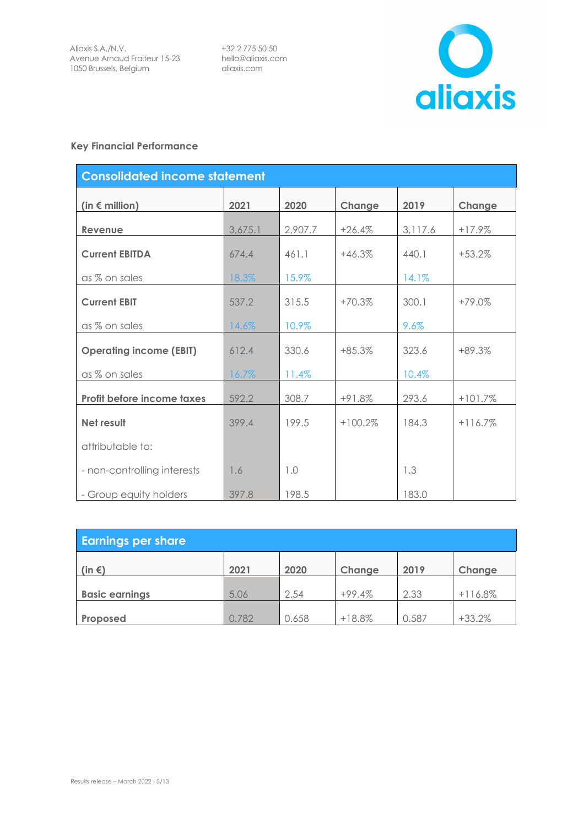

# **Key Financial Performance**

| <b>Consolidated income statement</b> |         |         |           |         |           |  |  |
|--------------------------------------|---------|---------|-----------|---------|-----------|--|--|
| (in $\epsilon$ million)              | 2021    | 2020    | Change    | 2019    | Change    |  |  |
| Revenue                              | 3,675.1 | 2,907.7 | $+26.4%$  | 3,117.6 | $+17.9%$  |  |  |
| <b>Current EBITDA</b>                | 674.4   | 461.1   | $+46.3%$  | 440.1   | $+53.2%$  |  |  |
| as % on sales                        | 18.3%   | 15.9%   |           | 14.1%   |           |  |  |
| <b>Current EBIT</b>                  | 537.2   | 315.5   | $+70.3%$  | 300.1   | $+79.0%$  |  |  |
| as % on sales                        | 14.6%   | 10.9%   |           | 9.6%    |           |  |  |
| <b>Operating income (EBIT)</b>       | 612.4   | 330.6   | $+85.3%$  | 323.6   | $+89.3%$  |  |  |
| as % on sales                        | 16.7%   | 11.4%   |           | 10.4%   |           |  |  |
| <b>Profit before income taxes</b>    | 592.2   | 308.7   | $+91.8%$  | 293.6   | $+101.7%$ |  |  |
| Net result                           | 399.4   | 199.5   | $+100.2%$ | 184.3   | $+116.7%$ |  |  |
| attributable to:                     |         |         |           |         |           |  |  |
| - non-controlling interests          | 1.6     | 1.0     |           | 1.3     |           |  |  |
| - Group equity holders               | 397.8   | 198.5   |           | 183.0   |           |  |  |

| <b>Earnings per share</b> |       |       |          |       |           |
|---------------------------|-------|-------|----------|-------|-----------|
| (in $\epsilon$ )          | 2021  | 2020  | Change   | 2019  | Change    |
| <b>Basic earnings</b>     | 5.06  | 2.54  | $+99.4%$ | 2.33  | $+116.8%$ |
| Proposed                  | 0.782 | 0.658 | $+18.8%$ | 0.587 | $+33.2%$  |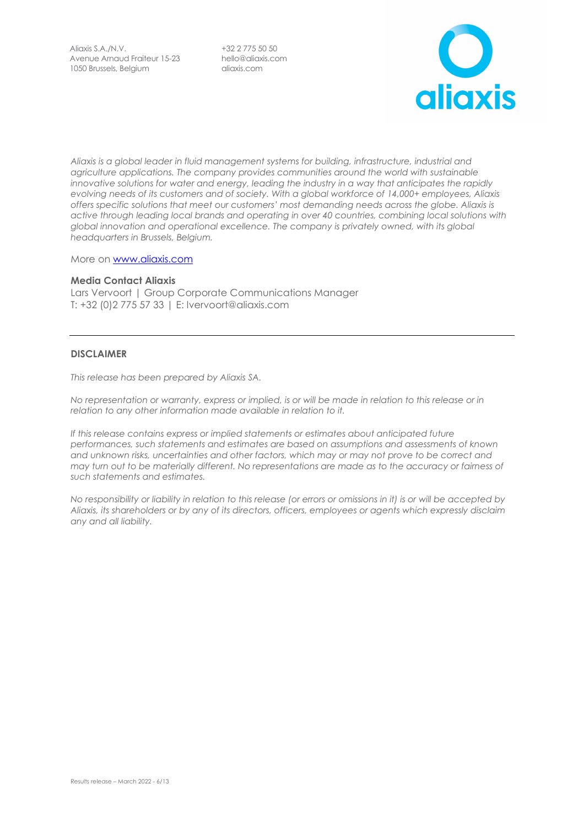+32 2 775 50 50 hello@aliaxis.com aliaxis.com



*Aliaxis is a global leader in fluid management systems for building, infrastructure, industrial and agriculture applications. The company provides communities around the world with sustainable innovative solutions for water and energy, leading the industry in a way that anticipates the rapidly evolving needs of its customers and of society. With a global workforce of 14,000+ employees, Aliaxis offers specific solutions that meet our customers' most demanding needs across the globe. Aliaxis is active through leading local brands and operating in over 40 countries, combining local solutions with global innovation and operational excellence. The company is privately owned, with its global headquarters in Brussels, Belgium.*

More on [www.aliaxis.com](http://www.aliaxis.com/)

#### **Media Contact Aliaxis**

Lars Vervoort | Group Corporate Communications Manager T: +32 (0)2 775 57 33 | E: lvervoort@aliaxis.com

#### **DISCLAIMER**

*This release has been prepared by Aliaxis SA.* 

*No representation or warranty, express or implied, is or will be made in relation to this release or in relation to any other information made available in relation to it.* 

*If this release contains express or implied statements or estimates about anticipated future performances, such statements and estimates are based on assumptions and assessments of known and unknown risks, uncertainties and other factors, which may or may not prove to be correct and may turn out to be materially different. No representations are made as to the accuracy or fairness of such statements and estimates.* 

*No responsibility or liability in relation to this release (or errors or omissions in it) is or will be accepted by Aliaxis, its shareholders or by any of its directors, officers, employees or agents which expressly disclaim any and all liability.*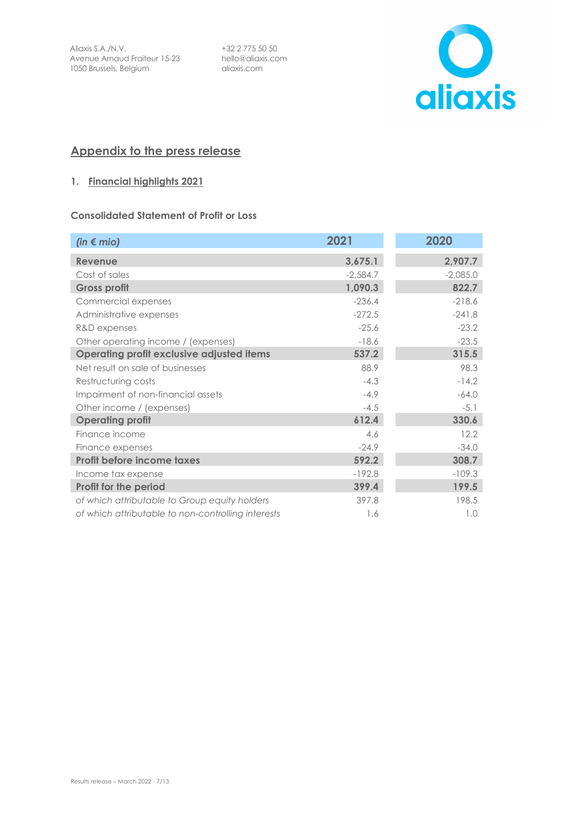

# **Appendix to the press release**

# **1. Financial highlights 2021**

# **Consolidated Statement of Profit or Loss**

| (in $\notin$ mio)                                  | 2021       | 2020       |
|----------------------------------------------------|------------|------------|
| Revenue                                            | 3,675.1    | 2,907.7    |
| Cost of sales                                      | $-2,584.7$ | $-2,085.0$ |
| <b>Gross profit</b>                                | 1,090.3    | 822.7      |
| Commercial expenses                                | $-236.4$   | $-218.6$   |
| Administrative expenses                            | $-272.5$   | $-241.8$   |
| R&D expenses                                       | $-25.6$    | $-23.2$    |
| Other operating income / (expenses)                | $-18.6$    | $-23.5$    |
| <b>Operating profit exclusive adjusted items</b>   | 537.2      | 315.5      |
| Net result on sale of businesses                   | 88.9       | 98.3       |
| Restructuring costs                                | $-4.3$     | $-14.2$    |
| Impairment of non-financial assets                 | $-4.9$     | $-64.0$    |
| Other income / (expenses)                          | $-4.5$     | $-5.1$     |
| <b>Operating profit</b>                            | 612.4      | 330.6      |
| Finance income                                     | 4.6        | 12.2       |
| Finance expenses                                   | $-24.9$    | $-34.0$    |
| <b>Profit before income taxes</b>                  | 592.2      | 308.7      |
| Income tax expense                                 | $-192.8$   | $-109.3$   |
| Profit for the period                              | 399.4      | 199.5      |
| of which attributable to Group equity holders      | 397.8      | 198.5      |
| of which attributable to non-controlling interests | 1.6        | 1.0        |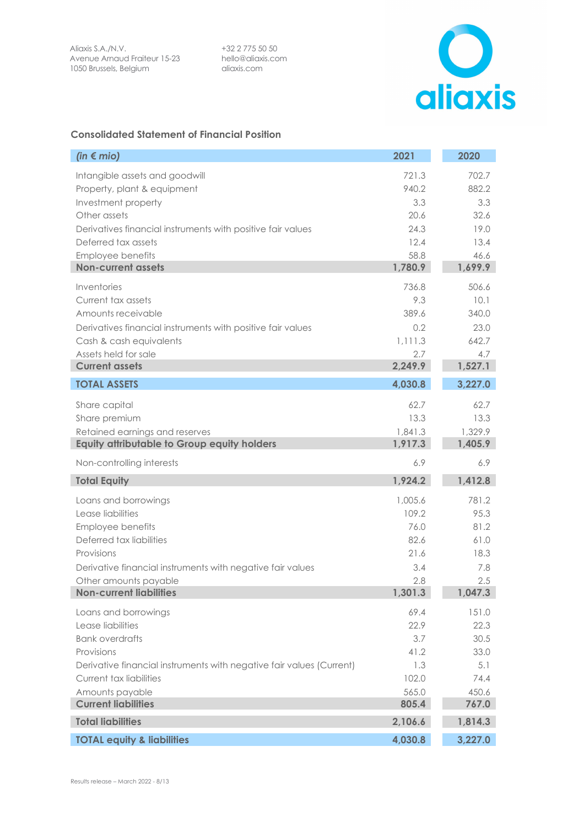

# **Consolidated Statement of Financial Position**

| (in $\epsilon$ mio)                                                  | 2021    | 2020    |
|----------------------------------------------------------------------|---------|---------|
| Intangible assets and goodwill                                       | 721.3   | 702.7   |
| Property, plant & equipment                                          | 940.2   | 882.2   |
| Investment property                                                  | 3.3     | 3.3     |
| Other assets                                                         | 20.6    | 32.6    |
| Derivatives financial instruments with positive fair values          | 24.3    | 19.0    |
| Deferred tax assets                                                  | 12.4    | 13.4    |
| Employee benefits                                                    | 58.8    | 46.6    |
| <b>Non-current assets</b>                                            | 1,780.9 | 1,699.9 |
| Inventories                                                          | 736.8   | 506.6   |
| Current tax assets                                                   | 9.3     | 10.1    |
| Amounts receivable                                                   | 389.6   | 340.0   |
| Derivatives financial instruments with positive fair values          | 0.2     | 23.0    |
| Cash & cash equivalents                                              | 1,111.3 | 642.7   |
| Assets held for sale                                                 | 2.7     | 4.7     |
| <b>Current assets</b>                                                | 2,249.9 | 1,527.1 |
| <b>TOTAL ASSETS</b>                                                  | 4,030.8 | 3,227.0 |
| Share capital                                                        | 62.7    | 62.7    |
| Share premium                                                        | 13.3    | 13.3    |
| Retained earnings and reserves                                       | 1,841.3 | 1,329.9 |
| <b>Equity attributable to Group equity holders</b>                   | 1,917.3 | 1,405.9 |
| Non-controlling interests                                            | 6.9     | 6.9     |
| <b>Total Equity</b>                                                  | 1,924.2 | 1,412.8 |
| Loans and borrowings                                                 | 1,005.6 | 781.2   |
| Lease liabilities                                                    | 109.2   | 95.3    |
| Employee benefits                                                    | 76.0    | 81.2    |
| Deferred tax liabilities                                             | 82.6    | 61.0    |
| Provisions                                                           | 21.6    | 18.3    |
| Derivative financial instruments with negative fair values           | 3.4     | 7.8     |
| Other amounts payable                                                | 2.8     | 2.5     |
| <b>Non-current liabilities</b>                                       | 1,301.3 | 1,047.3 |
| Loans and borrowings                                                 | 69.4    | 151.0   |
| Lease liabilities                                                    | 22.9    | 22.3    |
| <b>Bank overdrafts</b>                                               | 3.7     | 30.5    |
| Provisions                                                           | 41.2    | 33.0    |
| Derivative financial instruments with negative fair values (Current) | 1.3     | 5.1     |
| Current tax liabilities                                              | 102.0   | 74.4    |
| Amounts payable                                                      | 565.0   | 450.6   |
| <b>Current liabilities</b>                                           | 805.4   | 767.0   |
| <b>Total liabilities</b>                                             | 2,106.6 | 1,814.3 |
| <b>TOTAL equity &amp; liabilities</b>                                | 4,030.8 | 3,227.0 |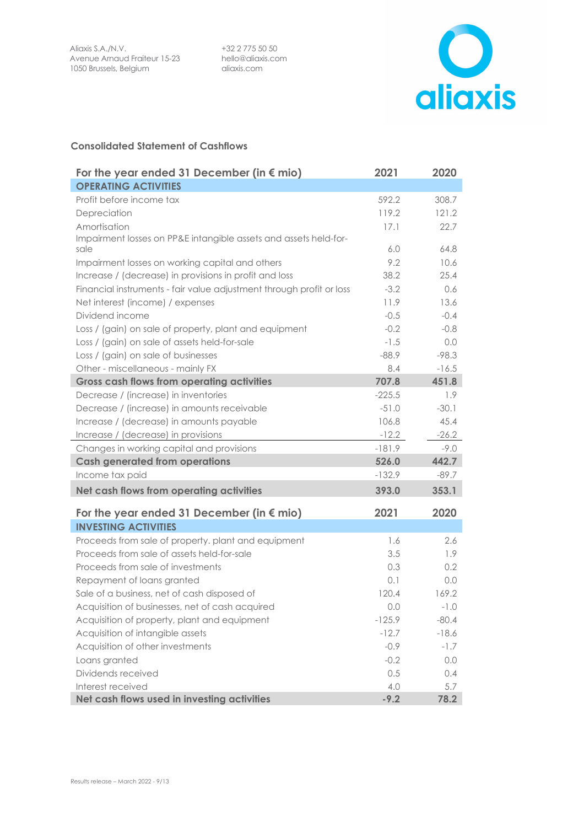

# **Consolidated Statement of Cashflows**

| For the year ended 31 December (in $\epsilon$ mio)                   | 2021     | 2020    |
|----------------------------------------------------------------------|----------|---------|
| <b>OPERATING ACTIVITIES</b>                                          |          |         |
| Profit before income tax                                             | 592.2    | 308.7   |
| Depreciation                                                         | 119.2    | 121.2   |
| Amortisation                                                         | 17.1     | 22.7    |
| Impairment losses on PP&E intangible assets and assets held-for-     |          |         |
| sale                                                                 | 6.0      | 64.8    |
| Impairment losses on working capital and others                      | 9.2      | 10.6    |
| Increase / (decrease) in provisions in profit and loss               | 38.2     | 25.4    |
| Financial instruments - fair value adjustment through profit or loss | $-3.2$   | 0.6     |
| Net interest (income) / expenses                                     | 11.9     | 13.6    |
| Dividend income                                                      | $-0.5$   | $-0.4$  |
| Loss / (gain) on sale of property, plant and equipment               | $-0.2$   | $-0.8$  |
| Loss / (gain) on sale of assets held-for-sale                        | $-1.5$   | 0.0     |
| Loss / (gain) on sale of businesses                                  | $-88.9$  | $-98.3$ |
| Other - miscellaneous - mainly FX                                    | 8.4      | $-16.5$ |
| <b>Gross cash flows from operating activities</b>                    | 707.8    | 451.8   |
| Decrease / (increase) in inventories                                 | $-225.5$ | 1.9     |
| Decrease / (increase) in amounts receivable                          | $-51.0$  | $-30.1$ |
| Increase / (decrease) in amounts payable                             | 106.8    | 45.4    |
| Increase / (decrease) in provisions                                  | $-12.2$  | $-26.2$ |
| Changes in working capital and provisions                            | $-181.9$ | $-9.0$  |
| <b>Cash generated from operations</b>                                | 526.0    | 442.7   |
| Income tax paid                                                      | $-132.9$ | $-89.7$ |
| Net cash flows from operating activities                             | 393.0    | 353.1   |
| For the year ended 31 December (in $\epsilon$ mio)                   | 2021     | 2020    |
| <b>INVESTING ACTIVITIES</b>                                          |          |         |
| Proceeds from sale of property. plant and equipment                  | 1.6      | 2.6     |
| Proceeds from sale of assets held-for-sale                           | 3.5      | 1.9     |
| Proceeds from sale of investments                                    | 0.3      | 0.2     |
| Repayment of loans granted                                           | 0.1      | 0.0     |
| Sale of a business, net of cash disposed of                          | 120.4    | 169.2   |
| Acquisition of businesses, net of cash acquired                      | 0.0      | $-1.0$  |
| Acquisition of property, plant and equipment                         | $-125.9$ | $-80.4$ |
| Acquisition of intangible assets                                     | $-12.7$  | $-18.6$ |
| Acquisition of other investments                                     | $-0.9$   | $-1.7$  |
| Loans granted                                                        | $-0.2$   | 0.0     |
| Dividends received                                                   | 0.5      | 0.4     |
| Interest received                                                    | 4.0      | 5.7     |
| Net cash flows used in investing activities                          | $-9.2$   | 78.2    |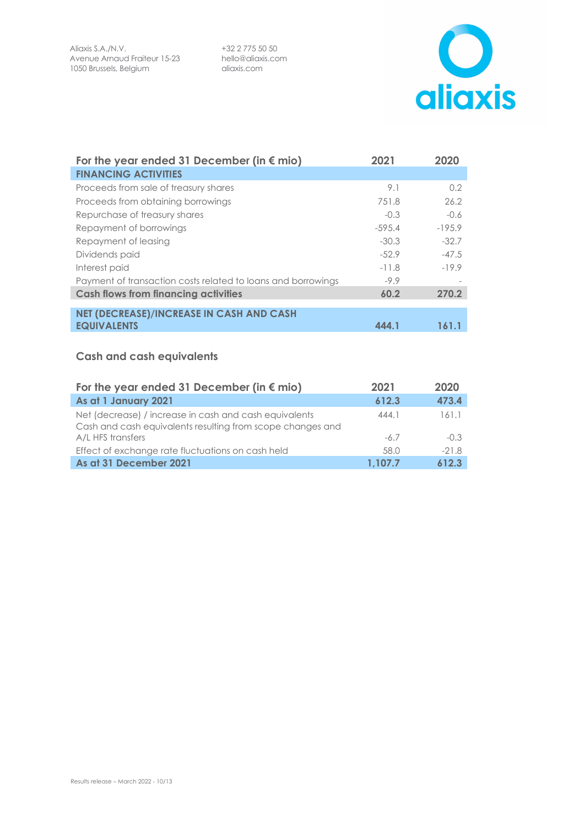

| For the year ended 31 December (in $\epsilon$ mio)           | 2021     | 2020     |
|--------------------------------------------------------------|----------|----------|
| <b>FINANCING ACTIVITIES</b>                                  |          |          |
| Proceeds from sale of treasury shares                        | 9.1      | 0.2      |
| Proceeds from obtaining borrowings                           | 751.8    | 26.2     |
| Repurchase of treasury shares                                | $-0.3$   | $-0.6$   |
| Repayment of borrowings                                      | $-595.4$ | $-195.9$ |
| Repayment of leasing                                         | $-30.3$  | $-32.7$  |
| Dividends paid                                               | $-52.9$  | $-47.5$  |
| Interest paid                                                | $-11.8$  | $-19.9$  |
| Payment of transaction costs related to loans and borrowings | $-9.9$   |          |
| <b>Cash flows from financing activities</b>                  | 60.2     | 270.2    |
|                                                              |          |          |
| <b>NET (DECREASE)/INCREASE IN CASH AND CASH</b>              |          |          |
| <b>EQUIVALENTS</b>                                           | 444.1    | 161.1    |

# **Cash and cash equivalents**

| For the year ended 31 December (in $\epsilon$ mio)                                                                   | 2021    | 2020    |
|----------------------------------------------------------------------------------------------------------------------|---------|---------|
| As at 1 January 2021                                                                                                 | 612.3   | 473.4   |
| Net (decrease) / increase in cash and cash equivalents<br>Cash and cash equivalents resulting from scope changes and | 444.1   | 161.1   |
| A/L HFS transfers                                                                                                    | $-6.7$  | $-0.3$  |
| Effect of exchange rate fluctuations on cash held                                                                    | 58.0    | $-21.8$ |
| As at 31 December 2021                                                                                               | 1.107.7 | 612.3   |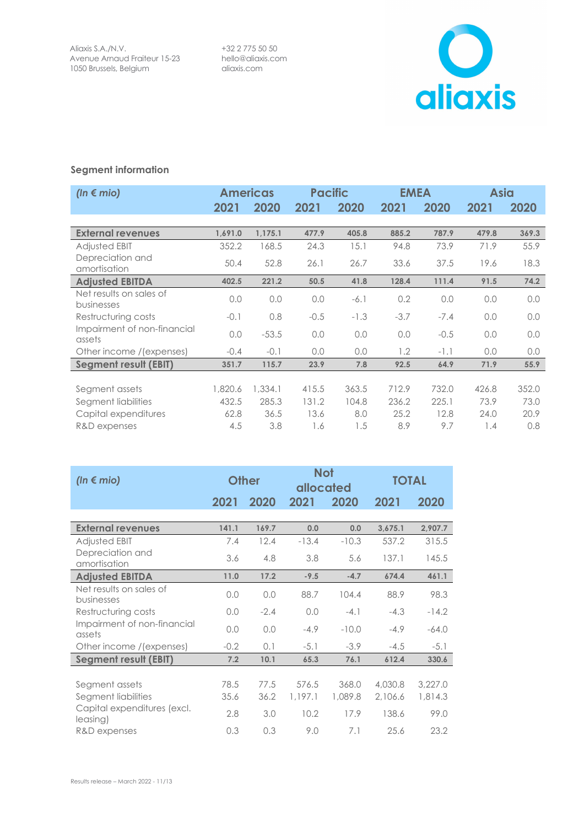+32 2 775 50 50 hello@aliaxis.com aliaxis.com



# **Segment information**

| (In $\epsilon$ mio)                   |         | <b>Americas</b> | <b>Pacific</b> |        | <b>EMEA</b> |        | <b>Asia</b> |       |
|---------------------------------------|---------|-----------------|----------------|--------|-------------|--------|-------------|-------|
|                                       | 2021    | 2020            | 2021           | 2020   | 2021        | 2020   | 2021        | 2020  |
|                                       |         |                 |                |        |             |        |             |       |
| <b>External revenues</b>              | 1,691.0 | 1,175.1         | 477.9          | 405.8  | 885.2       | 787.9  | 479.8       | 369.3 |
| Adjusted EBIT                         | 352.2   | 168.5           | 24.3           | 15.1   | 94.8        | 73.9   | 71.9        | 55.9  |
| Depreciation and<br>amortisation      | 50.4    | 52.8            | 26.1           | 26.7   | 33.6        | 37.5   | 19.6        | 18.3  |
| <b>Adjusted EBITDA</b>                | 402.5   | 221.2           | 50.5           | 41.8   | 128.4       | 111.4  | 91.5        | 74.2  |
| Net results on sales of<br>businesses | 0.0     | 0.0             | 0.0            | $-6.1$ | 0.2         | 0.0    | 0.0         | 0.0   |
| Restructuring costs                   | $-0.1$  | 0.8             | $-0.5$         | $-1.3$ | $-3.7$      | $-7.4$ | 0.0         | 0.0   |
| Impairment of non-financial<br>assets | 0.0     | $-53.5$         | 0.0            | 0.0    | 0.0         | $-0.5$ | 0.0         | 0.0   |
| Other income /(expenses)              | $-0.4$  | $-0.1$          | 0.0            | 0.0    | 1.2         | $-1.1$ | 0.0         | 0.0   |
| <b>Segment result (EBIT)</b>          | 351.7   | 115.7           | 23.9           | 7.8    | 92.5        | 64.9   | 71.9        | 55.9  |
|                                       |         |                 |                |        |             |        |             |       |
| Segment assets                        | 1,820.6 | 1,334.1         | 415.5          | 363.5  | 712.9       | 732.0  | 426.8       | 352.0 |
| Segment liabilities                   | 432.5   | 285.3           | 131.2          | 104.8  | 236.2       | 225.1  | 73.9        | 73.0  |
| Capital expenditures                  | 62.8    | 36.5            | 13.6           | 8.0    | 25.2        | 12.8   | 24.0        | 20.9  |
| R&D expenses                          | 4.5     | 3.8             | 1.6            | 1.5    | 8.9         | 9.7    | 1.4         | 0.8   |

| (In $\epsilon$ mio)                     | <b>Other</b> |        | <b>Not</b><br>allocated |         | <b>TOTAL</b> |         |
|-----------------------------------------|--------------|--------|-------------------------|---------|--------------|---------|
|                                         | 2021         | 2020   | 2021                    | 2020    | 2021         | 2020    |
|                                         |              |        |                         |         |              |         |
| <b>External revenues</b>                | 141.1        | 169.7  | 0.0                     | 0.0     | 3,675.1      | 2,907.7 |
| Adjusted EBIT                           | 7.4          | 12.4   | $-13.4$                 | $-10.3$ | 537.2        | 315.5   |
| Depreciation and<br>amortisation        | 3.6          | 4.8    | 3.8                     | 5.6     | 137.1        | 145.5   |
| <b>Adjusted EBITDA</b>                  | 11.0         | 17.2   | $-9.5$                  | $-4.7$  | 674.4        | 461.1   |
| Net results on sales of<br>businesses   | 0.0          | 0.0    | 88.7                    | 104.4   | 88.9         | 98.3    |
| Restructuring costs                     | 0.0          | $-2.4$ | 0.0                     | $-4.1$  | $-4.3$       | $-14.2$ |
| Impairment of non-financial<br>assets   | 0.0          | 0.0    | $-4.9$                  | $-10.0$ | $-4.9$       | $-64.0$ |
| Other income /(expenses)                | $-0.2$       | 0.1    | $-5.1$                  | $-3.9$  | $-4.5$       | $-5.1$  |
| <b>Segment result (EBIT)</b>            | 7.2          | 10.1   | 65.3                    | 76.1    | 612.4        | 330.6   |
|                                         |              |        |                         |         |              |         |
| Segment assets                          | 78.5         | 77.5   | 576.5                   | 368.0   | 4,030.8      | 3,227.0 |
| Segment liabilities                     | 35.6         | 36.2   | 1,197.1                 | 1,089.8 | 2,106.6      | 1,814.3 |
| Capital expenditures (excl.<br>leasing) | 2.8          | 3.0    | 10.2                    | 17.9    | 138.6        | 99.0    |
| R&D expenses                            | 0.3          | 0.3    | 9.0                     | 7.1     | 25.6         | 23.2    |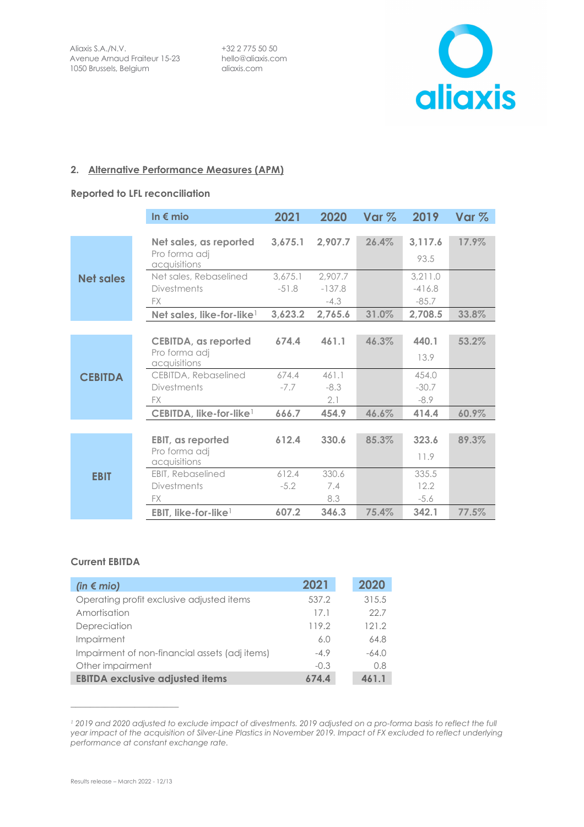+32 2 775 50 50 aliaxis.com



# **2. Alternative Performance Measures (APM)**

#### **Reported to LFL reconciliation**

|                  | In $\epsilon$ mio                     | 2021    | 2020     | Var $%$ | 2019     | Var % |
|------------------|---------------------------------------|---------|----------|---------|----------|-------|
|                  |                                       |         |          |         |          |       |
|                  | Net sales, as reported                | 3,675.1 | 2,907.7  | 26.4%   | 3,117.6  | 17.9% |
|                  | Pro forma adj                         |         |          |         | 93.5     |       |
|                  | acquisitions                          |         |          |         |          |       |
| <b>Net sales</b> | Net sales, Rebaselined                | 3,675.1 | 2,907.7  |         | 3,211.0  |       |
|                  | <b>Divestments</b>                    | $-51.8$ | $-137.8$ |         | $-416.8$ |       |
|                  | FX.                                   |         | $-4.3$   |         | $-85.7$  |       |
|                  | Net sales, like-for-like <sup>1</sup> | 3,623.2 | 2,765.6  | 31.0%   | 2,708.5  | 33.8% |
|                  |                                       |         |          |         |          |       |
|                  | <b>CEBITDA, as reported</b>           | 674.4   | 461.1    | 46.3%   | 440.1    | 53.2% |
|                  | Pro forma adj                         |         |          |         | 13.9     |       |
|                  | acquisitions                          |         |          |         |          |       |
| <b>CEBITDA</b>   | CEBITDA, Rebaselined                  | 674.4   | 461.1    |         | 454.0    |       |
|                  | <b>Divestments</b>                    | $-7.7$  | $-8.3$   |         | $-30.7$  |       |
|                  | FX.                                   |         | 2.1      |         | $-8.9$   |       |
|                  | CEBITDA, like-for-like <sup>1</sup>   | 666.7   | 454.9    | 46.6%   | 414.4    | 60.9% |
|                  |                                       |         |          |         |          |       |
|                  | EBIT, as reported                     | 612.4   | 330.6    | 85.3%   | 323.6    | 89.3% |
|                  | Pro forma adj                         |         |          |         | 11.9     |       |
|                  | acquisitions                          |         |          |         |          |       |
| <b>EBIT</b>      | EBIT, Rebaselined                     | 612.4   | 330.6    |         | 335.5    |       |
|                  | <b>Divestments</b>                    | $-5.2$  | 7.4      |         | 12.2     |       |
|                  | FX.                                   |         | 8.3      |         | $-5.6$   |       |
|                  | EBIT, like-for-like $1$               | 607.2   | 346.3    | 75.4%   | 342.1    | 77.5% |

# **Current EBITDA**

| (in $\notin$ mio)                              | 2021   | 2020    |
|------------------------------------------------|--------|---------|
| Operating profit exclusive adjusted items      | 537.2  | 315.5   |
| Amortisation                                   | 17.1   | 22.7    |
| Depreciation                                   | 119.2  | 121.2   |
| Impairment                                     | 6.0    | 64.8    |
| Impairment of non-financial assets (adj items) | $-4.9$ | $-64.0$ |
| Other impairment                               | $-0.3$ | 0.8     |
| <b>EBITDA exclusive adjusted items</b>         | 674.4  | 461.1   |

*<sup>1</sup> 2019 and 2020 adjusted to exclude impact of divestments. 2019 adjusted on a pro-forma basis to reflect the full year impact of the acquisition of Silver-Line Plastics in November 2019. Impact of FX excluded to reflect underlying performance at constant exchange rate.* 

**\_\_\_\_\_\_\_\_\_\_\_\_\_\_\_\_\_\_\_\_\_\_**